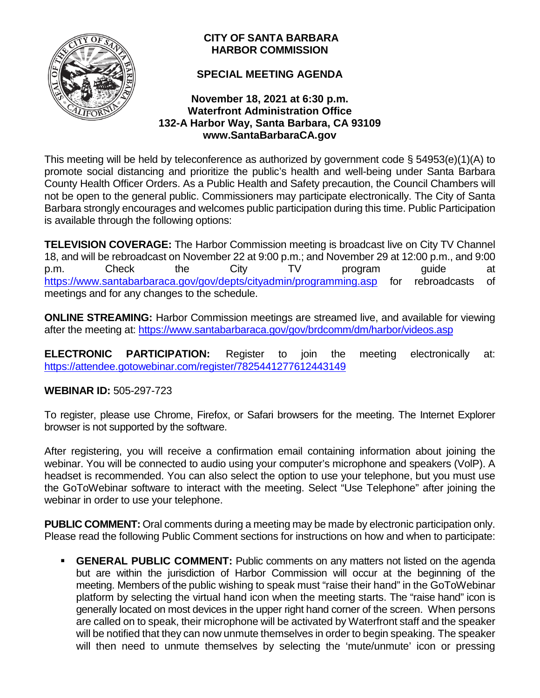

# **CITY OF SANTA BARBARA HARBOR COMMISSION**

# **SPECIAL MEETING AGENDA**

# **November 18, 2021 at 6:30 p.m. Waterfront Administration Office 132-A Harbor Way, Santa Barbara, CA 93109 www.SantaBarbaraCA.gov**

This meeting will be held by teleconference as authorized by government code § 54953(e)(1)(A) to promote social distancing and prioritize the public's health and well-being under Santa Barbara County Health Officer Orders. As a Public Health and Safety precaution, the Council Chambers will not be open to the general public. Commissioners may participate electronically. The City of Santa Barbara strongly encourages and welcomes public participation during this time. Public Participation is available through the following options:

**TELEVISION COVERAGE:** The Harbor Commission meeting is broadcast live on City TV Channel 18, and will be rebroadcast on November 22 at 9:00 p.m.; and November 29 at 12:00 p.m., and 9:00 p.m. Check the City TV program guide at <https://www.santabarbaraca.gov/gov/depts/cityadmin/programming.asp> for rebroadcasts of meetings and for any changes to the schedule.

**ONLINE STREAMING:** Harbor Commission meetings are streamed live, and available for viewing after the meeting at: <https://www.santabarbaraca.gov/gov/brdcomm/dm/harbor/videos.asp>

**ELECTRONIC PARTICIPATION:** Register to join the meeting electronically at: <https://attendee.gotowebinar.com/register/7825441277612443149>

# **WEBINAR ID:** 505-297-723

To register, please use Chrome, Firefox, or Safari browsers for the meeting. The Internet Explorer browser is not supported by the software.

After registering, you will receive a confirmation email containing information about joining the webinar. You will be connected to audio using your computer's microphone and speakers (VolP). A headset is recommended. You can also select the option to use your telephone, but you must use the GoToWebinar software to interact with the meeting. Select "Use Telephone" after joining the webinar in order to use your telephone.

**PUBLIC COMMENT:** Oral comments during a meeting may be made by electronic participation only. Please read the following Public Comment sections for instructions on how and when to participate:

**GENERAL PUBLIC COMMENT:** Public comments on any matters not listed on the agenda but are within the jurisdiction of Harbor Commission will occur at the beginning of the meeting. Members of the public wishing to speak must "raise their hand" in the GoToWebinar platform by selecting the virtual hand icon when the meeting starts. The "raise hand" icon is generally located on most devices in the upper right hand corner of the screen. When persons are called on to speak, their microphone will be activated by Waterfront staff and the speaker will be notified that they can now unmute themselves in order to begin speaking. The speaker will then need to unmute themselves by selecting the 'mute/unmute' icon or pressing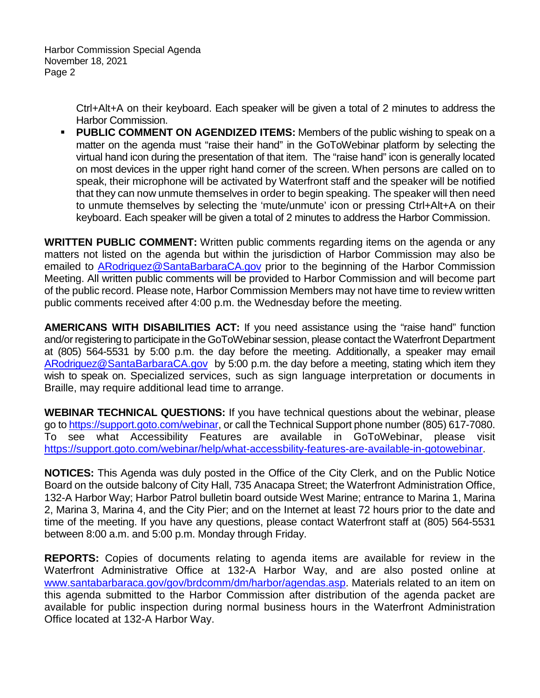Harbor Commission Special Agenda November 18, 2021 Page 2

> Ctrl+Alt+A on their keyboard. Each speaker will be given a total of 2 minutes to address the Harbor Commission.

**PUBLIC COMMENT ON AGENDIZED ITEMS:** Members of the public wishing to speak on a matter on the agenda must "raise their hand" in the GoToWebinar platform by selecting the virtual hand icon during the presentation of that item. The "raise hand" icon is generally located on most devices in the upper right hand corner of the screen. When persons are called on to speak, their microphone will be activated by Waterfront staff and the speaker will be notified that they can now unmute themselves in order to begin speaking. The speaker will then need to unmute themselves by selecting the 'mute/unmute' icon or pressing Ctrl+Alt+A on their keyboard. Each speaker will be given a total of 2 minutes to address the Harbor Commission.

**WRITTEN PUBLIC COMMENT:** Written public comments regarding items on the agenda or any matters not listed on the agenda but within the jurisdiction of Harbor Commission may also be emailed to [ARodriguez@SantaBarbaraCA.gov](mailto:ARodriguez@SantaBarbaraCA.gov) prior to the beginning of the Harbor Commission Meeting. All written public comments will be provided to Harbor Commission and will become part of the public record. Please note, Harbor Commission Members may not have time to review written public comments received after 4:00 p.m. the Wednesday before the meeting.

**AMERICANS WITH DISABILITIES ACT:** If you need assistance using the "raise hand" function and/or registering to participate in the GoToWebinar session, please contact the Waterfront Department at (805) 564-5531 by 5:00 p.m. the day before the meeting. Additionally, a speaker may email [ARodriguez@SantaBarbaraCA.gov](mailto:ARodriguez@SantaBarbaraCA.gov) by 5:00 p.m. the day before a meeting, stating which item they wish to speak on. Specialized services, such as sign language interpretation or documents in Braille, may require additional lead time to arrange.

**WEBINAR TECHNICAL QUESTIONS:** If you have technical questions about the webinar, please go to [https://support.goto.com/webinar,](https://support.goto.com/webinar) or call the Technical Support phone number (805) 617-7080. To see what Accessibility Features are available in GoToWebinar, please visit [https://support.goto.com/webinar/help/what-accessbility-features-are-available-in-gotowebinar.](https://support.goto.com/webinar/help/what-accessbility-features-are-available-in-gotowebinar)

**NOTICES:** This Agenda was duly posted in the Office of the City Clerk, and on the Public Notice Board on the outside balcony of City Hall, 735 Anacapa Street; the Waterfront Administration Office, 132-A Harbor Way; Harbor Patrol bulletin board outside West Marine; entrance to Marina 1, Marina 2, Marina 3, Marina 4, and the City Pier; and on the Internet at least 72 hours prior to the date and time of the meeting. If you have any questions, please contact Waterfront staff at (805) 564-5531 between 8:00 a.m. and 5:00 p.m. Monday through Friday.

**REPORTS:** Copies of documents relating to agenda items are available for review in the Waterfront Administrative Office at 132-A Harbor Way, and are also posted online at [www.santabarbaraca.gov/gov/brdcomm/dm/harbor/agendas.asp.](http://www.santabarbaraca.gov/gov/brdcomm/dm/harbor/agendas.asp) Materials related to an item on this agenda submitted to the Harbor Commission after distribution of the agenda packet are available for public inspection during normal business hours in the Waterfront Administration Office located at 132-A Harbor Way.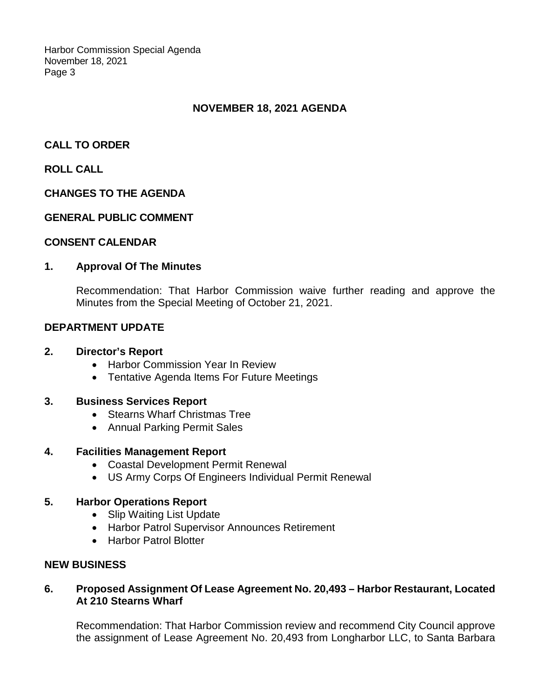Harbor Commission Special Agenda November 18, 2021 Page 3

# **NOVEMBER 18, 2021 AGENDA**

## **CALL TO ORDER**

## **ROLL CALL**

#### **CHANGES TO THE AGENDA**

#### **GENERAL PUBLIC COMMENT**

#### **CONSENT CALENDAR**

#### **1. Approval Of The Minutes**

Recommendation: That Harbor Commission waive further reading and approve the Minutes from the Special Meeting of October 21, 2021.

### **DEPARTMENT UPDATE**

### **2. Director's Report**

- Harbor Commission Year In Review
- Tentative Agenda Items For Future Meetings

### **3. Business Services Report**

- Stearns Wharf Christmas Tree
- Annual Parking Permit Sales

#### **4. Facilities Management Report**

- Coastal Development Permit Renewal
- US Army Corps Of Engineers Individual Permit Renewal

#### **5. Harbor Operations Report**

- Slip Waiting List Update
- Harbor Patrol Supervisor Announces Retirement
- Harbor Patrol Blotter

### **NEW BUSINESS**

### **6. Proposed Assignment Of Lease Agreement No. 20,493 – Harbor Restaurant, Located At 210 Stearns Wharf**

Recommendation: That Harbor Commission review and recommend City Council approve the assignment of Lease Agreement No. 20,493 from Longharbor LLC, to Santa Barbara